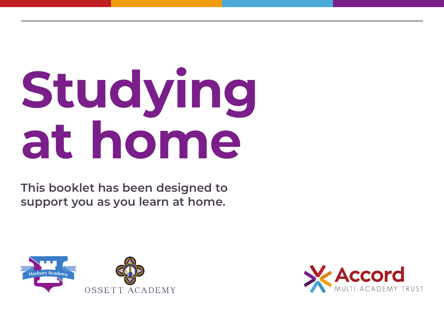# **Studying at home**

**This booklet has been designed to support you as you learn at home.**



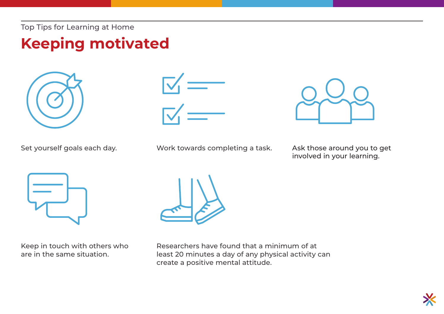# **Keeping motivated**







Set yourself goals each day. Work towards completing a task. Ask those around you to get

involved in your learning.



Keep in touch with others who are in the same situation.



Researchers have found that a minimum of at least 20 minutes a day of any physical activity can create a positive mental attitude.

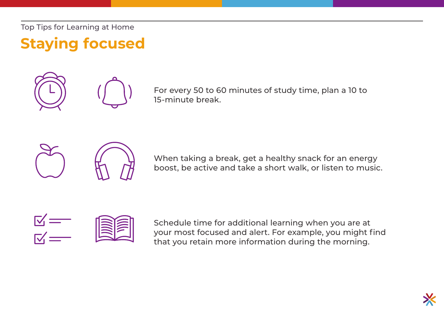**Staying focused**



For every 50 to 60 minutes of study time, plan a 10 to 15-minute break.



When taking a break, get a healthy snack for an energy boost, be active and take a short walk, or listen to music.



Schedule time for additional learning when you are at your most focused and alert. For example, you might find that you retain more information during the morning.

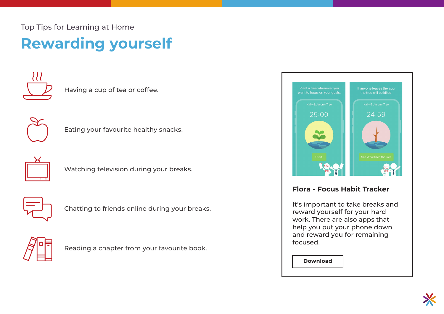# **Rewarding yourself**



Having a cup of tea or coffee.











Chatting to friends online during your breaks.



Reading a chapter from your favourite book.



## **Flora - Focus Habit Tracker**

It's important to take breaks and reward yourself for your hard work. There are also apps that help you put your phone down and reward you for remaining focused.

**[Download](https://apple.co/398951S)**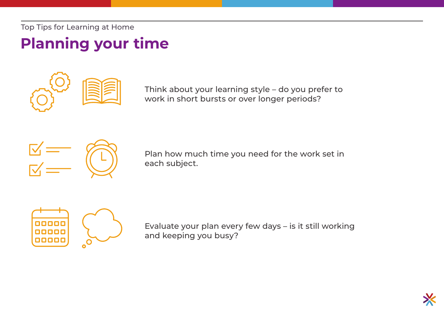# **Planning your time**



Think about your learning style – do you prefer to work in short bursts or over longer periods?



Plan how much time you need for the work set in each subject.



Evaluate your plan every few days – is it still working and keeping you busy?

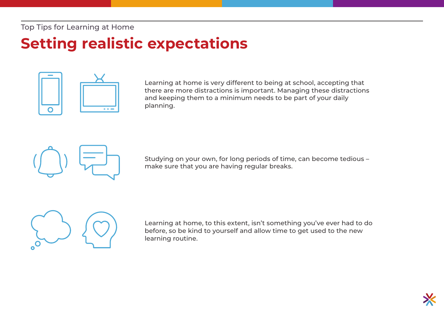# **Setting realistic expectations**



Learning at home is very different to being at school, accepting that there are more distractions is important. Managing these distractions and keeping them to a minimum needs to be part of your daily planning.



Studying on your own, for long periods of time, can become tedious – make sure that you are having regular breaks.



Learning at home, to this extent, isn't something you've ever had to do before, so be kind to yourself and allow time to get used to the new learning routine.

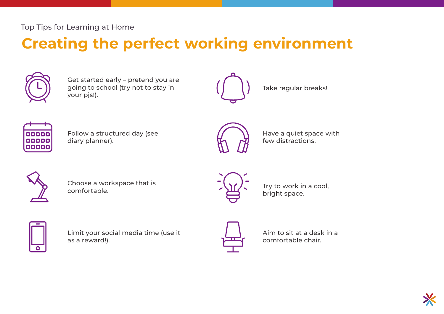# **Creating the perfect working environment**



Get started early – pretend you are going to school (try not to stay in your pjs!).



Take regular breaks!



Follow a structured day (see diary planner).



Have a quiet space with few distractions.



Choose a workspace that is comfortable.



Try to work in a cool, bright space.



Limit your social media time (use it as a reward!).



Aim to sit at a desk in a comfortable chair.

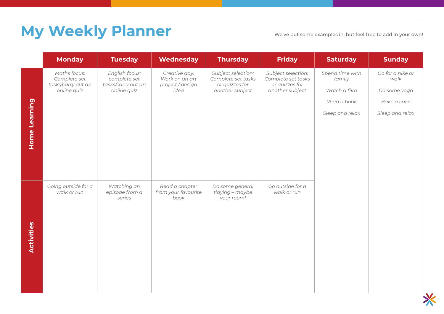# **My Weekly Planner**

We've put some examples in, but feel free to add in your own!

|                      | <b>Monday</b>                                                     | <b>Tuesday</b>                                                      | <b>Wednesday</b>                                            | <b>Thursday</b>                                                               | <b>Friday</b>                                                                 | <b>Saturday</b>           | <b>Sunday</b>            |
|----------------------|-------------------------------------------------------------------|---------------------------------------------------------------------|-------------------------------------------------------------|-------------------------------------------------------------------------------|-------------------------------------------------------------------------------|---------------------------|--------------------------|
|                      | Maths focus:<br>Complete set<br>tasks/carry out an<br>online quiz | English focus:<br>complete set<br>tasks/carry out an<br>online quiz | Creative day:<br>Work on an art<br>project / design<br>idea | Subject selection:<br>Complete set tasks<br>or quizzes for<br>another subject | Subject selection:<br>Complete set tasks<br>or quizzes for<br>another subject | Spend time with<br>family | Go for a hike or<br>walk |
|                      |                                                                   |                                                                     |                                                             |                                                                               |                                                                               | Watch a film              | Do some yoga             |
|                      |                                                                   |                                                                     |                                                             |                                                                               |                                                                               | Read a book               | Bake a cake              |
| <b>Home Learning</b> |                                                                   |                                                                     |                                                             |                                                                               |                                                                               | Sleep and relax           | Sleep and relax          |
|                      |                                                                   |                                                                     |                                                             |                                                                               |                                                                               |                           |                          |
|                      |                                                                   |                                                                     |                                                             |                                                                               |                                                                               |                           |                          |
|                      |                                                                   |                                                                     |                                                             |                                                                               |                                                                               |                           |                          |
|                      |                                                                   |                                                                     |                                                             |                                                                               |                                                                               |                           |                          |
|                      | Going outside for a                                               | Watching an                                                         | Read a chapter                                              | Do some general                                                               | Go outside for a                                                              |                           |                          |
|                      | walk or run                                                       | episode from a<br>series                                            | from your favourite<br>book                                 | tidying - maybe<br>your room!                                                 | walk or run                                                                   |                           |                          |
|                      |                                                                   |                                                                     |                                                             |                                                                               |                                                                               |                           |                          |
|                      |                                                                   |                                                                     |                                                             |                                                                               |                                                                               |                           |                          |
| Activities           |                                                                   |                                                                     |                                                             |                                                                               |                                                                               |                           |                          |
|                      |                                                                   |                                                                     |                                                             |                                                                               |                                                                               |                           |                          |
|                      |                                                                   |                                                                     |                                                             |                                                                               |                                                                               |                           |                          |
|                      |                                                                   |                                                                     |                                                             |                                                                               |                                                                               |                           |                          |
|                      |                                                                   |                                                                     |                                                             |                                                                               |                                                                               |                           |                          |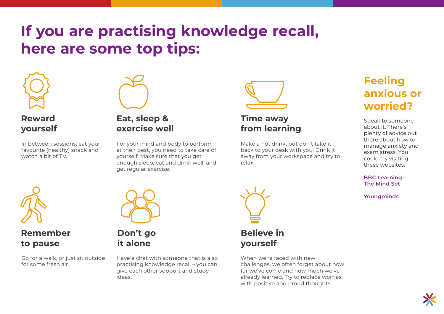# **If you are practising knowledge recall, here are some top tips:**



## **Reward yourself**

In between sessions, eat your favourite (healthy) snack and watch a bit of TV.



**Don't go it alone**

## **Eat, sleep & exercise well**

For your mind and body to perform at their best, you need to take care of yourself. Make sure that you get enough sleep, eat and drink well, and get regular exercise.



## **Time away from learning**

Make a hot drink, but don't take it back to your desk with you. Drink it away from your workspace and try to relax.



## **Remember to pause**

Go for a walk, or just sit outside for some fresh air.

Have a chat with someone that is also practising knowledge recall – you can give each other support and study ideas.



## **Believe in yourself**

When we're faced with new challenges, we often forget about how far we've come and how much we've already learned. Try to replace worries with positive and proud thoughts.

## **Feeling anxious or worried?**

Speak to someone about it. There's plenty of advice out there about how to manage anxiety and exam stress. You could try visiting these websites:

**[BBC Learning –](https://www.bbc.co.uk/programmes/articles/1fNYdl1kgwQmNvvw74LGT8S/the-mind-set)  The Mind Set**

**[Youngminds](https://youngminds.org.uk/)**

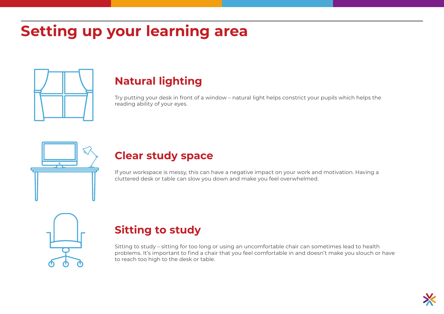# **Setting up your learning area**



## **Natural lighting**

Try putting your desk in front of a window – natural light helps constrict your pupils which helps the reading ability of your eyes.



## **Clear study space**

If your workspace is messy, this can have a negative impact on your work and motivation. Having a cluttered desk or table can slow you down and make you feel overwhelmed.

## **Sitting to study**

Sitting to study – sitting for too long or using an uncomfortable chair can sometimes lead to health problems. It's important to find a chair that you feel comfortable in and doesn't make you slouch or have to reach too high to the desk or table.

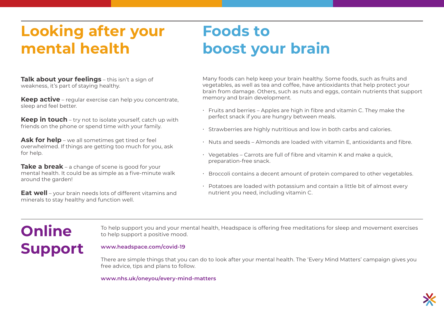# **Looking after your mental health**

# **Foods to boost your brain**

**Talk about your feelings** – this isn't a sign of weakness, it's part of staying healthy.

**Keep active** – regular exercise can help you concentrate, sleep and feel better.

**Keep in touch** – try not to isolate yourself, catch up with friends on the phone or spend time with your family.

**Ask for help** – we all sometimes get tired or feel overwhelmed. If things are getting too much for you, ask for help.

**Take a break** – a change of scene is good for your mental health. It could be as simple as a five-minute walk around the garden!

**Eat well** – your brain needs lots of different vitamins and minerals to stay healthy and function well.

Many foods can help keep your brain healthy. Some foods, such as fruits and vegetables, as well as tea and coffee, have antioxidants that help protect your brain from damage. Others, such as nuts and eggs, contain nutrients that support memory and brain development.

- Fruits and berries Apples are high in fibre and vitamin C. They make the perfect snack if you are hungry between meals.
- Strawberries are highly nutritious and low in both carbs and calories.
- Nuts and seeds Almonds are loaded with vitamin E, antioxidants and fibre.
- Vegetables Carrots are full of fibre and vitamin K and make a quick, preparation-free snack.
- Broccoli contains a decent amount of protein compared to other vegetables.
- Potatoes are loaded with potassium and contain a little bit of almost every nutrient you need, including vitamin C.

# **Online Support**

To help support you and your mental health, Headspace is offering free meditations for sleep and movement exercises to help support a positive mood.

## **[www.headspace.com/covid-19](https://www.headspace.com/covid-19)**

There are simple things that you can do to look after your mental health. The 'Every Mind Matters' campaign gives you free advice, tips and plans to follow.

**[www.nhs.uk/oneyou/every-mind-matters](https://www.nhs.uk/oneyou/every-mind-matters/)**

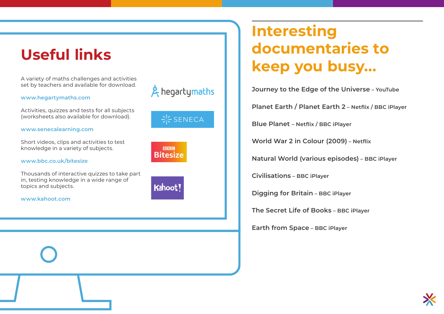# **Useful links**

A variety of maths challenges and activities set by teachers and available for download.

#### **[www.hegartymaths.com](https://hegartymaths.com/)**

Activities, quizzes and tests for all subjects (worksheets also available for download).

#### **[www.senecalearning.com](https://www.senecalearning.com/)**

Short videos, clips and activities to test knowledge in a variety of subjects.

**[www.bbc.co.uk/bitesize](https://www.bbc.co.uk/bitesize)**

Thousands of interactive quizzes to take part in, testing knowledge in a wide range of topics and subjects.

**[www.kahoot.com](https://kahoot.com/)**



**BBC Bitesize** 



# **Interesting documentaries to keep you busy...**

**Journey to the Edge of the Universe – YouTube** 

**Planet Earth / Planet Earth 2 – Netflix / BBC iPlayer**

**Blue Planet – Netflix / BBC iPlayer** 

**World War 2 in Colour (2009) – Netflix**

**Natural World (various episodes) – BBC iPlayer** 

**Civilisations – BBC iPlayer**

**Digging for Britain – BBC iPlayer**

**The Secret Life of Books – BBC iPlayer** 

**Earth from Space – BBC iPlayer**

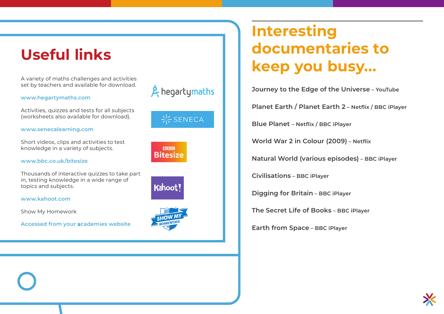# **Usefu l links**

A variety of maths challenges and activities set by teachers and available for download.

#### **[www.hegartymaths.com](https://hegartymaths.com/)**

Activities, quizzes and tests for all subjects (worksheets also available for download).

#### **[www.senecalearning.com](https://www.senecalearning.com/)**

Short videos, clips and activities to test knowledge in a variety of subjects.

**[www.bbc.co.uk/bitesize](https://www.bbc.co.uk/bitesize)**

Thousands of interactive quizzes to take part in, testing knowledge in a wide range of topics and subjects.

**[www.kahoot.com](https://kahoot.com/)**

Sh o w M y H omework

**Accessed from you r academies website**



 $\frac{1}{2}$  SENECA

**BBC Bitesize** 





# **Interesting documentaries to keep you busy...**

**Journey to the Edge of the Universe – YouTube** 

**Planet Earth / Planet Earth 2 – Netflix / BBC iPlayer**

**Blue Planet – Netflix / BBC iPlayer** 

**World War 2 in Colour (2009) – Netflix**

**Natural World (various episodes) – BBC iPlayer** 

**Civilisations – BBC iPlayer**

**Digging for Britain – BBC iPlayer**

**The Secret Life of Books – BBC iPlayer** 

**Earth from Space – BBC iPlayer**

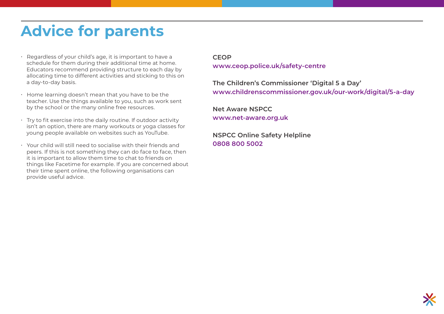# **Advice for parents**

- Regardless of your child's age, it is important to have a schedule for them during their additional time at home. Educators recommend providing structure to each day by allocating time to different activities and sticking to this on a day-to-day basis.
- Home learning doesn't mean that you have to be the teacher. Use the things available to you, such as work sent by the school or the many online free resources.
- $\cdot$  Try to fit exercise into the daily routine. If outdoor activity isn't an option, there are many workouts or yoga classes for young people available on websites such as YouTube.
- Your child will still need to socialise with their friends and peers. If this is not something they can do face to face, then it is important to allow them time to chat to friends on things like Facetime for example. If you are concerned about their time spent online, the following organisations can provide useful advice.

## **CEOP**

**[www.ceop.police.uk/safety-centre](https://www.ceop.police.uk/safety-centre/)**

**The Children's Commissioner 'Digital 5 a Day' [www.childrenscommissioner.gov.uk/our-work/digital/5-a-day](https://www.childrenscommissioner.gov.uk/our-work/digital/5-a-day/)** 

**Net Aware NSPCC [www.net-aware.org.uk](https://www.net-aware.org.uk/)**

**NSPCC Online Safety Helpline 0808 800 5002**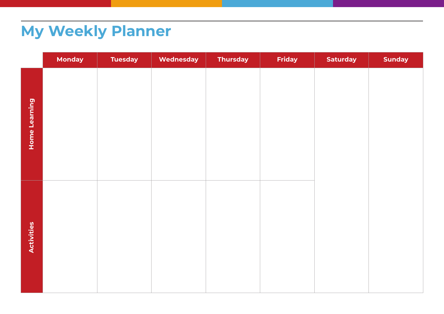# **My Weekly Planner**

|               | <b>Monday</b> | <b>Tuesday</b> | Wednesday | <b>Thursday</b> | Friday | <b>Saturday</b> | <b>Sunday</b> |
|---------------|---------------|----------------|-----------|-----------------|--------|-----------------|---------------|
| Home Learning |               |                |           |                 |        |                 |               |
| Activities    |               |                |           |                 |        |                 |               |